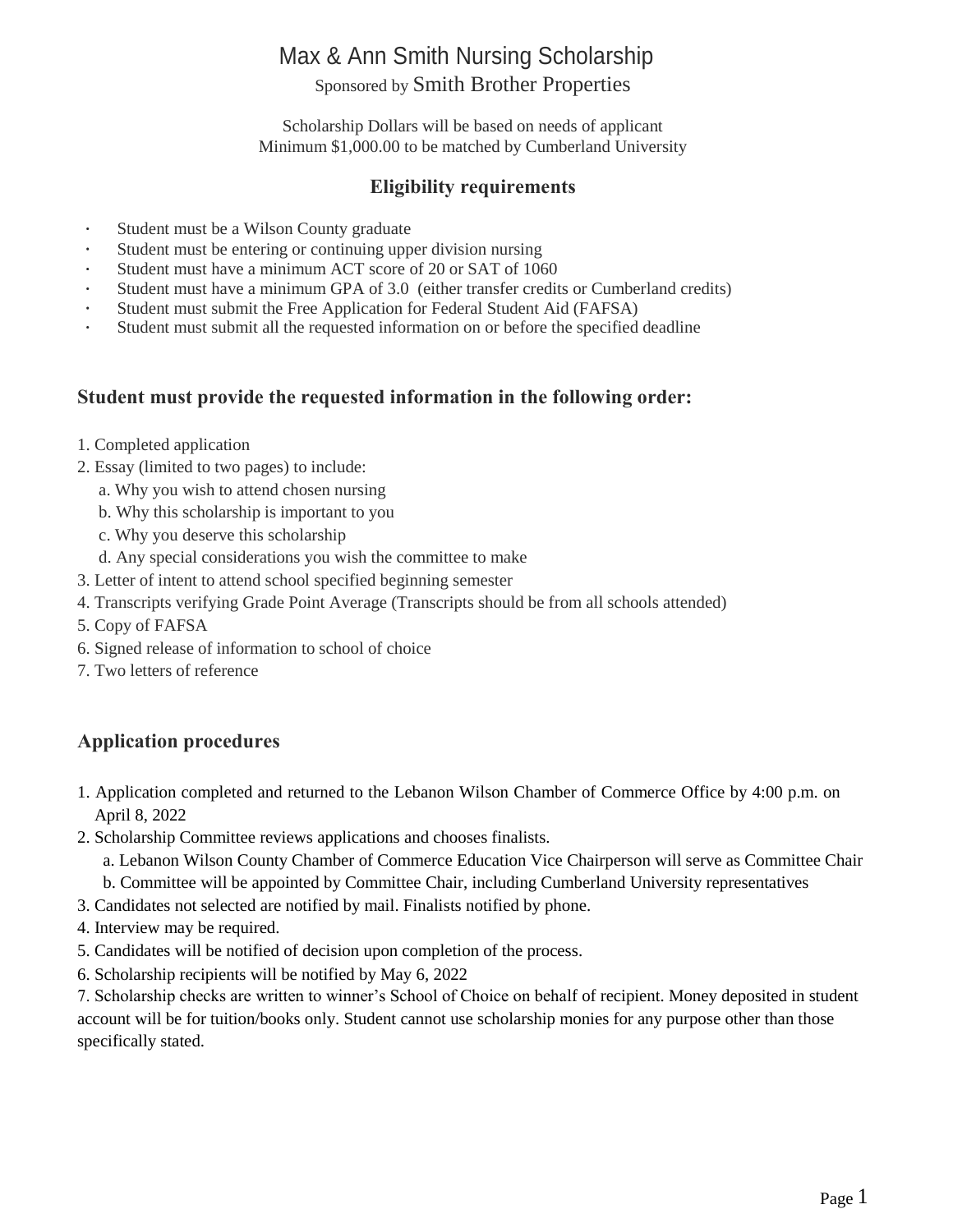### Max & Ann Smith Nursing Scholarship Sponsored by Smith Brother Properties

Scholarship Dollars will be based on needs of applicant Minimum \$1,000.00 to be matched by Cumberland University

#### **Eligibility requirements**

- Student must be a Wilson County graduate
- Student must be entering or continuing upper division nursing
- Student must have a minimum ACT score of 20 or SAT of 1060
- Student must have a minimum GPA of 3.0 (either transfer credits or Cumberland credits)
- $\ddot{\phantom{a}}$ Student must submit the Free Application for Federal Student Aid (FAFSA)
- Student must submit all the requested information on or before the specified deadline

#### **Student must provide the requested information in the following order:**

- 1. Completed application
- 2. Essay (limited to two pages) to include:
	- a. Why you wish to attend chosen nursing
	- b. Why this scholarship is important to you
	- c. Why you deserve this scholarship
	- d. Any special considerations you wish the committee to make
- 3. Letter of intent to attend school specified beginning semester
- 4. Transcripts verifying Grade Point Average (Transcripts should be from all schools attended)
- 5. Copy of FAFSA
- 6. Signed release of information to school of choice
- 7. Two letters of reference

#### **Application procedures**

- 1. Application completed and returned to the Lebanon Wilson Chamber of Commerce Office by 4:00 p.m. on April 8, 2022
- 2. Scholarship Committee reviews applications and chooses finalists.
	- a. Lebanon Wilson County Chamber of Commerce Education Vice Chairperson will serve as Committee Chair b. Committee will be appointed by Committee Chair, including Cumberland University representatives
- 3. Candidates not selected are notified by mail. Finalists notified by phone.
- 4. Interview may be required.
- 5. Candidates will be notified of decision upon completion of the process.
- 6. Scholarship recipients will be notified by May 6, 2022

7. Scholarship checks are written to winner's School of Choice on behalf of recipient. Money deposited in student account will be for tuition/books only. Student cannot use scholarship monies for any purpose other than those specifically stated.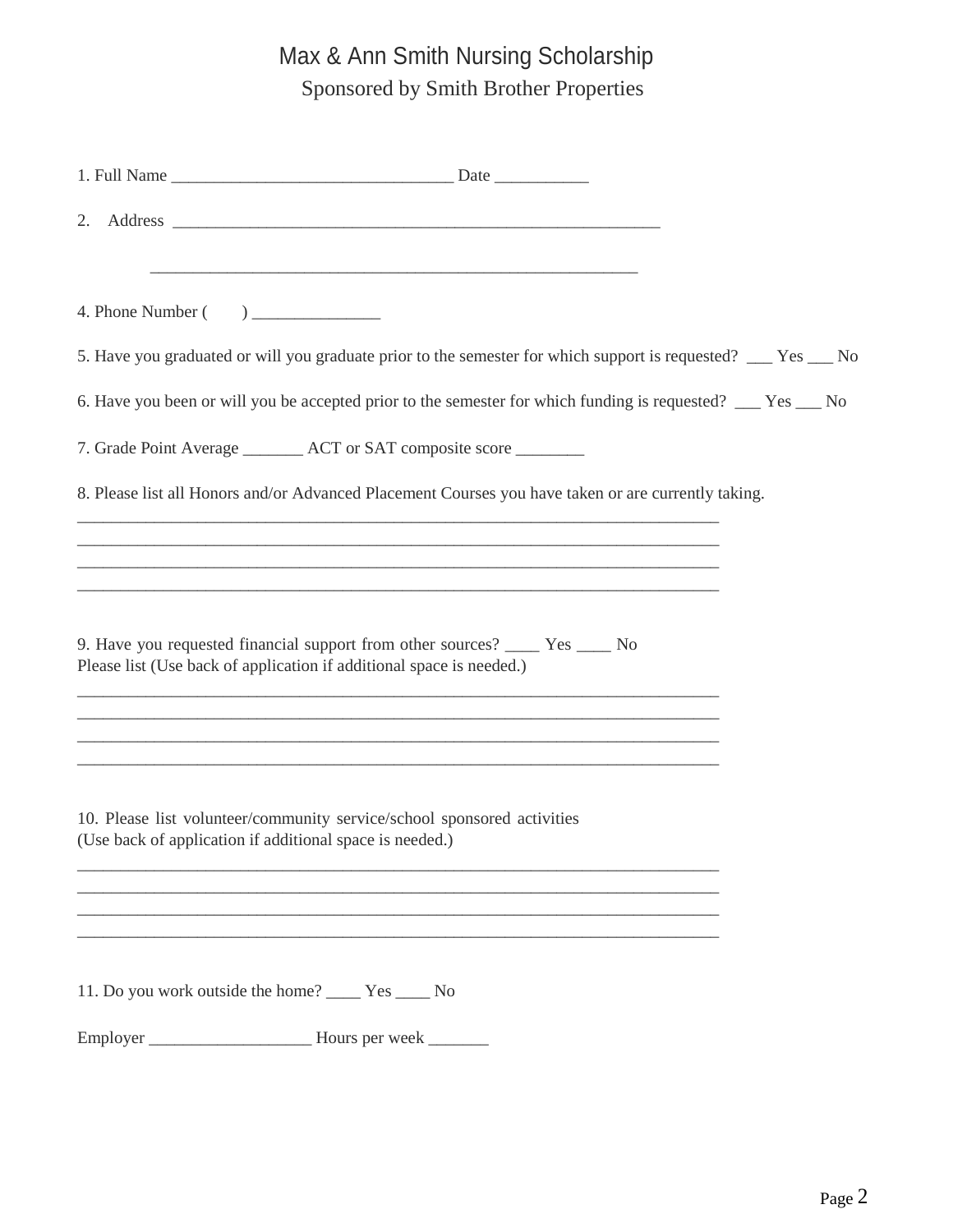# Max & Ann Smith Nursing Scholarship Sponsored by Smith Brother Properties

| 2.                                                                                                                                                                                                        |  |
|-----------------------------------------------------------------------------------------------------------------------------------------------------------------------------------------------------------|--|
|                                                                                                                                                                                                           |  |
|                                                                                                                                                                                                           |  |
| 5. Have you graduated or will you graduate prior to the semester for which support is requested? ___ Yes ___ No                                                                                           |  |
| 6. Have you been or will you be accepted prior to the semester for which funding is requested? __ Yes __ No                                                                                               |  |
| 7. Grade Point Average _________ ACT or SAT composite score _________                                                                                                                                     |  |
| 8. Please list all Honors and/or Advanced Placement Courses you have taken or are currently taking.                                                                                                       |  |
| <u> 1989 - Johann Stoff, deutscher Stoff, der Stoff, der Stoff, der Stoff, der Stoff, der Stoff, der Stoff, der S</u><br>,我们也不能在这里的时候,我们也不能在这里的时候,我们也不能在这里的时候,我们也不能会在这里的时候,我们也不能会在这里的时候,我们也不能会在这里的时候,我们也不 |  |
| ,我们也不能在这里的时候,我们也不能在这里的时候,我们也不能不能在这里的时候,我们也不能会不能会不能会不能会不能会不能会不能会。<br>第2012章 我们的时候,我们的时候,我们的时候,我们的时候,我们的时候,我们的时候,我们的时候,我们的时候,我们的时候,我们的时候,我们的时候,我们的时候,我                                                      |  |
| 9. Have you requested financial support from other sources? ______ Yes _____ No<br>Please list (Use back of application if additional space is needed.)                                                   |  |
| <u> 1989 - Johann Stoff, amerikansk politiker (d. 1989)</u>                                                                                                                                               |  |
| <u> 1989 - Johann Stoff, amerikansk politiker (d. 1989)</u><br>and the control of the control of the control of the control of the control of the control of the control of the                           |  |
| 10. Please list volunteer/community service/school sponsored activities<br>(Use back of application if additional space is needed.)                                                                       |  |
|                                                                                                                                                                                                           |  |
|                                                                                                                                                                                                           |  |
| 11. Do you work outside the home? _______ Yes ______ No                                                                                                                                                   |  |
|                                                                                                                                                                                                           |  |